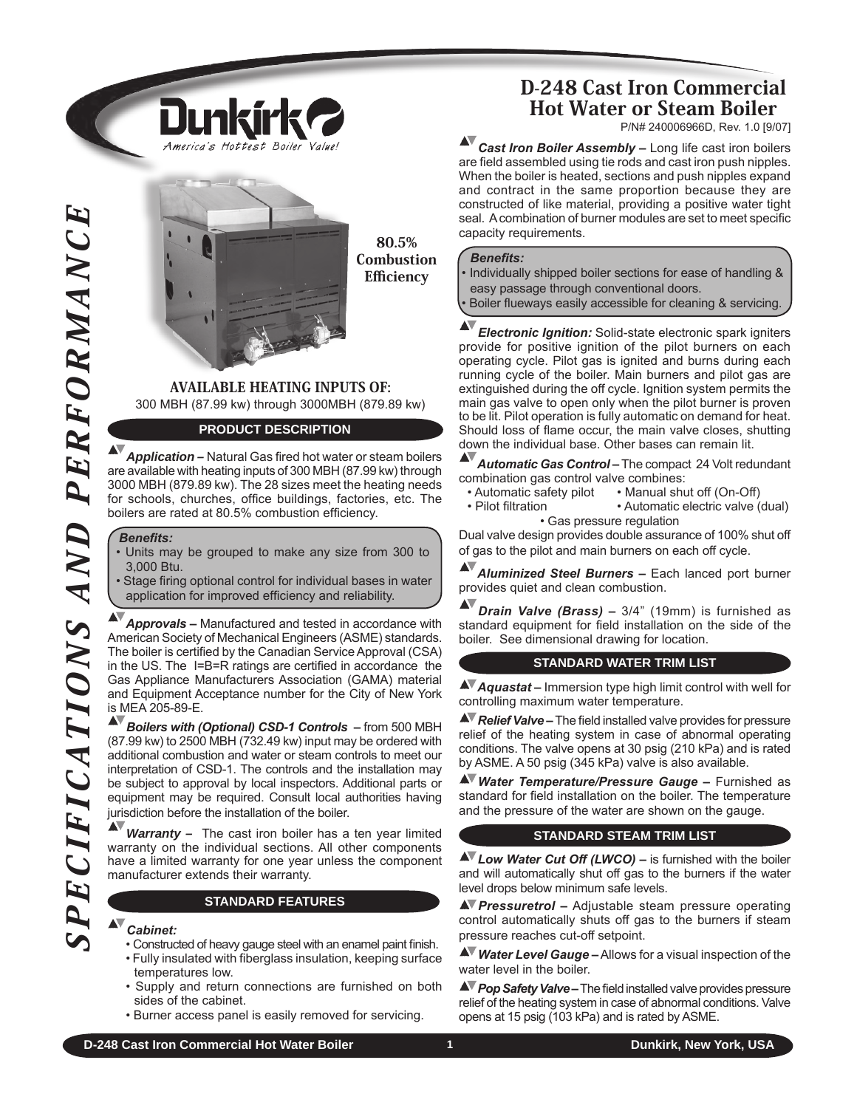

80.5% **Combustion Efficiency** 

## Available Heating inputs of: 300 MBH (87.99 kw) through 3000MBH (879.89 kw)

### **Product Description**

*Application –* Natural Gas fired hot water or steam boilers are available with heating inputs of 300 MBH (87.99 kw) through 3000 MBH (879.89 kw). The 28 sizes meet the heating needs for schools, churches, office buildings, factories, etc. The boilers are rated at 80.5% combustion efficiency.

#### *Benefits:*

- Units may be grouped to make any size from 300 to 3,000 Btu.
- Stage firing optional control for individual bases in water application for improved efficiency and reliability.

*Approvals –* manufactured and tested in accordance with American Society of Mechanical Engineers (ASME) standards. The boiler is certified by the Canadian Service Approval (CSA) in the US. The I=B=R ratings are certified in accordance the Gas Appliance Manufacturers Association (GAMA) material and Equipment Acceptance number for the City of New York is MEA 205-89-E.

The basile method to method in the candidminister of the case of the case of the case of the case of the case of the case of the case of the case of the case of the case of the case of the case of the case of the case of t *Boilers with (Optional) CSD-1 Controls –* from 500 MBH (87.99 kw) to 2500 MBH (732.49 kw) input may be ordered with additional combustion and water or steam controls to meet our interpretation of CSD-1. The controls and the installation may be subject to approval by local inspectors. Additional parts or equipment may be required. Consult local authorities having jurisdiction before the installation of the boiler.

*Warranty –* The cast iron boiler has a ten year limited warranty on the individual sections. All other components have a limited warranty for one year unless the component manufacturer extends their warranty.

#### **STANDARD Features**

#### *Cabinet:*

- Constructed of heavy gauge steel with an enamel paint finish.
- Fully insulated with fiberglass insulation, keeping surface temperatures low.
- Supply and return connections are furnished on both sides of the cabinet.
- Burner access panel is easily removed for servicing.

# D-248 Cast Iron Commercial Hot Water or Steam Boiler

P/N# 240006966D, Rev. 1.0 [9/07]

*Cast Iron Boiler Assembly –* Long life cast iron boilers are field assembled using tie rods and cast iron push nipples. When the boiler is heated, sections and push nipples expand and contract in the same proportion because they are constructed of like material, providing a positive water tight seal. A combination of burner modules are set to meet specific capacity requirements.

#### *Benefits:*

• Individually shipped boiler sections for ease of handling & easy passage through conventional doors. Boiler flueways easily accessible for cleaning & servicing

*Electronic Ignition:* Solid-state electronic spark igniters provide for positive ignition of the pilot burners on each operating cycle. Pilot gas is ignited and burns during each running cycle of the boiler. Main burners and pilot gas are extinguished during the off cycle. Ignition system permits the main gas valve to open only when the pilot burner is proven to be lit. Pilot operation is fully automatic on demand for heat. Should loss of flame occur, the main valve closes, shutting down the individual base. Other bases can remain lit.

AV *Automatic Gas Control –* The compact 24 volt redundant

- combination gas control valve combines:<br>
Automatic safety pilot Manual shu
- Automatic safety pilot Manual shut off (On-Off)<br>• Pilot filtration Automatic electric valve ( • Automatic electric valve (dual) • Gas pressure regulation

Dual valve design provides double assurance of 100% shut off of gas to the pilot and main burners on each off cycle.

*Aluminized Steel Burners –* Each lanced port burner provides quiet and clean combustion.

AV *Drain Valve (Brass) –* 3/4" (19mm) is furnished as standard equipment for field installation on the side of the boiler. See dimensional drawing for location.

#### **Standard water Trim list**

*Aquastat –* Immersion type high limit control with well for controlling maximum water temperature.

*Relief Valve –* The field installed valve provides for pressure relief of the heating system in case of abnormal operating conditions. The valve opens at 30 psig (210 kPa) and is rated by ASME. A 50 psig (345 kPa) valve is also available.

*Water Temperature/Pressure Gauge –* Furnished as standard for field installation on the boiler. The temperature and the pressure of the water are shown on the gauge. 

### **STANDARD STEAM TRIM LIST**

*Low Water Cut Off (LWCO) –* is furnished with the boiler and will automatically shut off gas to the burners if the water level drops below minimum safe levels.

*Pressuretrol –* Adjustable steam pressure operating control automatically shuts off gas to the burners if steam pressure reaches cut-off setpoint.

*Water Level Gauge –* Allows for a visual inspection of the water level in the boiler.

*A* Pop Safety Valve – The field installed valve provides pressure relief of the heating system in case of abnormal conditions. Valve opens at 15 psig (103 kPa) and is rated by ASME.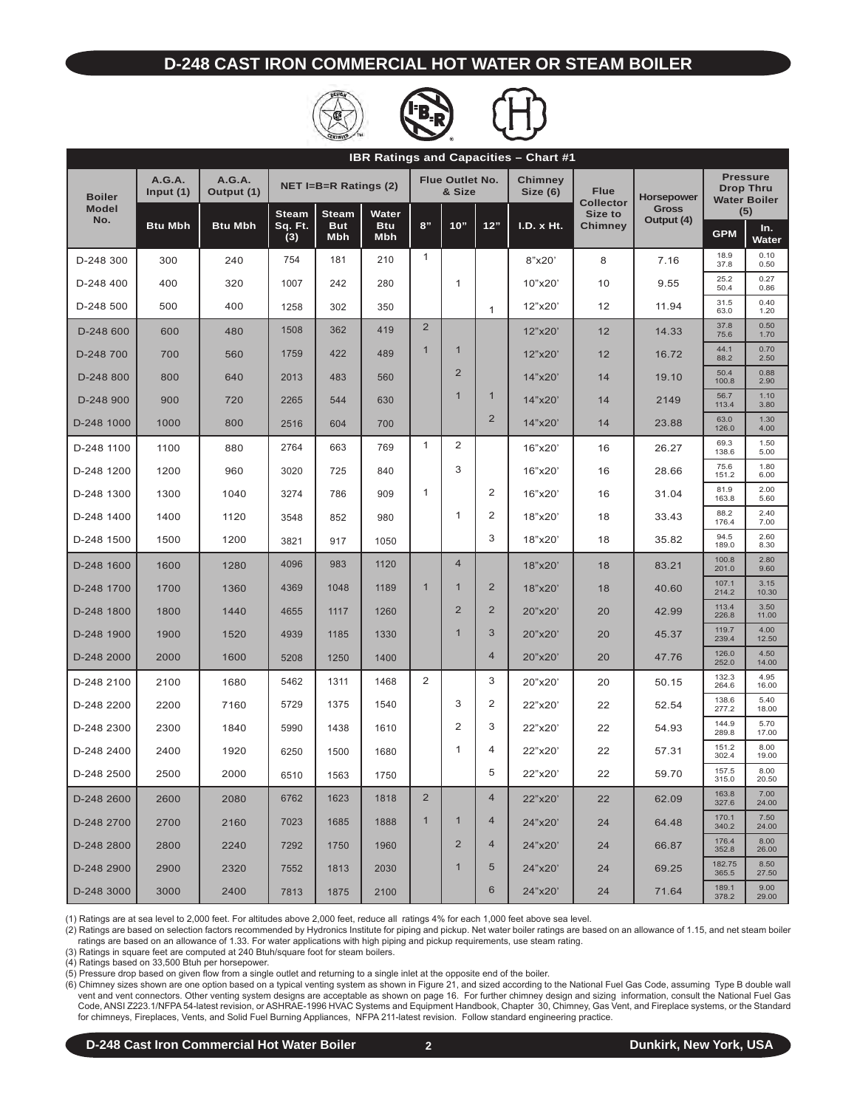### **D-248 Cast Iron Commercial Hot water or steam boiler**





| <b>IBR Ratings and Capacities - Chart #1</b> |                       |                             |                              |                          |                          |                                  |                |                            |                                 |                |                                                            |                 |               |
|----------------------------------------------|-----------------------|-----------------------------|------------------------------|--------------------------|--------------------------|----------------------------------|----------------|----------------------------|---------------------------------|----------------|------------------------------------------------------------|-----------------|---------------|
| <b>Boiler</b>                                | A.G.A.<br>Input $(1)$ | <b>A.G.A.</b><br>Output (1) |                              | NET I=B=R Ratings $(2)$  |                          | <b>Flue Outlet No.</b><br>& Size |                | <b>Chimney</b><br>Size (6) | <b>Flue</b><br><b>Collector</b> | Horsepower     | <b>Pressure</b><br><b>Drop Thru</b><br><b>Water Boiler</b> |                 |               |
| <b>Model</b><br>No.                          |                       |                             | <b>Steam</b><br><b>Steam</b> |                          | Water                    |                                  |                |                            |                                 | Size to        | <b>Gross</b><br>Output (4)                                 | (5)             |               |
|                                              | <b>Btu Mbh</b>        | <b>Btu Mbh</b>              | Sq. Ft.<br>(3)               | <b>But</b><br><b>Mbh</b> | <b>Btu</b><br><b>Mbh</b> | 8"                               | 10"            | 12"                        | I.D. x Ht.                      | <b>Chimney</b> |                                                            | <b>GPM</b>      | In.<br>Water  |
| D-248 300                                    | 300                   | 240                         | 754                          | 181                      | 210                      | 1                                |                |                            | 8"x20'                          | 8              | 7.16                                                       | 18.9<br>37.8    | 0.10<br>0.50  |
| D-248 400                                    | 400                   | 320                         | 1007                         | 242                      | 280                      |                                  | $\mathbf{1}$   |                            | 10"x20"                         | 10             | 9.55                                                       | 25.2<br>50.4    | 0.27<br>0.86  |
| D-248 500                                    | 500                   | 400                         | 1258                         | 302                      | 350                      |                                  |                | $\mathbf{1}$               | 12"x20'                         | 12             | 11.94                                                      | 31.5<br>63.0    | 0.40<br>1.20  |
| D-248 600                                    | 600                   | 480                         | 1508                         | 362                      | 419                      | $\overline{2}$                   |                |                            | 12"x20"                         | 12             | 14.33                                                      | 37.8<br>75.6    | 0.50<br>1.70  |
| D-248 700                                    | 700                   | 560                         | 1759                         | 422                      | 489                      | $\mathbf{1}$                     | $\mathbf{1}$   |                            | 12"x20"                         | 12             | 16.72                                                      | 44.1<br>88.2    | 0.70<br>2.50  |
| D-248 800                                    | 800                   | 640                         | 2013                         | 483                      | 560                      |                                  | $\overline{2}$ |                            | 14"x20"                         | 14             | 19.10                                                      | 50.4<br>100.8   | 0.88<br>2.90  |
| D-248 900                                    | 900                   | 720                         | 2265                         | 544                      | 630                      |                                  | $\mathbf{1}$   | $\mathbf{1}$               | 14"x20"                         | 14             | 2149                                                       | 56.7<br>113.4   | 1.10<br>3.80  |
| D-248 1000                                   | 1000                  | 800                         | 2516                         | 604                      | 700                      |                                  |                | 2                          | 14"x20"                         | 14             | 23.88                                                      | 63.0<br>126.0   | 1.30<br>4.00  |
| D-248 1100                                   | 1100                  | 880                         | 2764                         | 663                      | 769                      | $\mathbf{1}$                     | $\overline{2}$ |                            | 16"x20'                         | 16             | 26.27                                                      | 69.3<br>138.6   | 1.50<br>5.00  |
| D-248 1200                                   | 1200                  | 960                         | 3020                         | 725                      | 840                      |                                  | 3              |                            | 16"x20"                         | 16             | 28.66                                                      | 75.6<br>151.2   | 1.80<br>6.00  |
| D-248 1300                                   | 1300                  | 1040                        | 3274                         | 786                      | 909                      | $\mathbf{1}$                     |                | $\overline{2}$             | 16"x20"                         | 16             | 31.04                                                      | 81.9<br>163.8   | 2.00<br>5.60  |
| D-248 1400                                   | 1400                  | 1120                        | 3548                         | 852                      | 980                      |                                  | $\mathbf{1}$   | $\overline{2}$             | 18"x20'                         | 18             | 33.43                                                      | 88.2<br>176.4   | 2.40<br>7.00  |
| D-248 1500                                   | 1500                  | 1200                        | 3821                         | 917                      | 1050                     |                                  |                | 3                          | 18"x20'                         | 18             | 35.82                                                      | 94.5<br>189.0   | 2.60<br>8.30  |
| D-248 1600                                   | 1600                  | 1280                        | 4096                         | 983                      | 1120                     |                                  | $\overline{4}$ |                            | 18"x20"                         | 18             | 83.21                                                      | 100.8<br>201.0  | 2.80<br>9.60  |
| D-248 1700                                   | 1700                  | 1360                        | 4369                         | 1048                     | 1189                     | $\mathbf{1}$                     | $\mathbf{1}$   | $\overline{2}$             | 18"x20"                         | 18             | 40.60                                                      | 107.1<br>214.2  | 3.15<br>10.30 |
| D-248 1800                                   | 1800                  | 1440                        | 4655                         | 1117                     | 1260                     |                                  | $\overline{2}$ | 2                          | 20"x20"                         | 20             | 42.99                                                      | 113.4<br>226.8  | 3.50<br>11.00 |
| D-248 1900                                   | 1900                  | 1520                        | 4939                         | 1185                     | 1330                     |                                  | $\mathbf{1}$   | 3                          | 20"x20"                         | 20             | 45.37                                                      | 119.7<br>239.4  | 4.00<br>12.50 |
| D-248 2000                                   | 2000                  | 1600                        | 5208                         | 1250                     | 1400                     |                                  |                | $\overline{4}$             | 20"x20"                         | 20             | 47.76                                                      | 126.0<br>252.0  | 4.50<br>14.00 |
| D-248 2100                                   | 2100                  | 1680                        | 5462                         | 1311                     | 1468                     | 2                                |                | 3                          | 20"x20"                         | 20             | 50.15                                                      | 132.3<br>264.6  | 4.95<br>16.00 |
| D-248 2200                                   | 2200                  | 7160                        | 5729                         | 1375                     | 1540                     |                                  | 3              | $\overline{2}$             | 22"x20'                         | 22             | 52.54                                                      | 138.6<br>277.2  | 5.40<br>18.00 |
| D-248 2300                                   | 2300                  | 1840                        | 5990                         | 1438                     | 1610                     |                                  | $\overline{2}$ | 3                          | 22"x20'                         | 22             | 54.93                                                      | 144.9<br>289.8  | 5.70<br>17.00 |
| D-248 2400                                   | 2400                  | 1920                        | 6250                         | 1500                     | 1680                     |                                  | 1              | 4                          | 22"x20'                         | 22             | 57.31                                                      | 151.2<br>302.4  | 8.00<br>19.00 |
| D-248 2500                                   | 2500                  | 2000                        | 6510                         | 1563                     | 1750                     |                                  |                | 5                          | 22"x20'                         | 22             | 59.70                                                      | 157.5<br>315.0  | 8.00<br>20.50 |
| D-248 2600                                   | 2600                  | 2080                        | 6762                         | 1623                     | 1818                     | $\overline{2}$                   |                | 4                          | 22"x20"                         | 22             | 62.09                                                      | 163.8<br>327.6  | 7.00<br>24.00 |
| D-248 2700                                   | 2700                  | 2160                        | 7023                         | 1685                     | 1888                     | $\mathbf{1}$                     | $\mathbf{1}$   | 4                          | 24"x20"                         | 24             | 64.48                                                      | 170.1<br>340.2  | 7.50<br>24.00 |
| D-248 2800                                   | 2800                  | 2240                        | 7292                         | 1750                     | 1960                     |                                  | $\overline{2}$ | 4                          | 24"x20"                         | 24             | 66.87                                                      | 176.4<br>352.8  | 8.00<br>26.00 |
| D-248 2900                                   | 2900                  | 2320                        | 7552                         | 1813                     | 2030                     |                                  | $\mathbf{1}$   | 5                          | 24"x20"                         | 24             | 69.25                                                      | 182.75<br>365.5 | 8.50<br>27.50 |
| D-248 3000                                   | 3000                  | 2400                        | 7813                         | 1875                     | 2100                     |                                  |                | 6                          | 24"x20"                         | 24             | 71.64                                                      | 189.1<br>378.2  | 9.00<br>29.00 |

(1) Ratings are at sea level to 2,000 feet. For altitudes above 2,000 feet, reduce all ratings 4% for each 1,000 feet above sea level.

(2) Ratings are based on selection factors recommended by Hydronics Institute for piping and pickup. Net water boiler ratings are based on an allowance of 1.15, and net steam boiler ratings are based on an allowance of 1.33. For water applications with high piping and pickup requirements, use steam rating.

(3) Ratings in square feet are computed at 240 Btuh/square foot for steam boilers.

(4) Ratings based on 33,500 Btuh per horsepower.

(5) Pressure drop based on given flow from a single outlet and returning to a single inlet at the opposite end of the boiler.

(6) Chimney sizes shown are one option based on a typical venting system as shown in Figure 21, and sized according to the National Fuel Gas Code, assuming Type B double wall vent and vent connectors. Other venting system designs are acceptable as shown on page 16. For further chimney design and sizing information, consult the National Fuel Gas<br>Code, ANSI Z223.1/NFPA 54-latest revision, or ASH for chimneys, Fireplaces, Vents, and Solid Fuel Burning Appliances, NFPA 211-latest revision. Follow standard engineering practice.

**D-248 Cast Iron Commercial Hot Water Boiler 2 2 Dunkirk, New York, USA**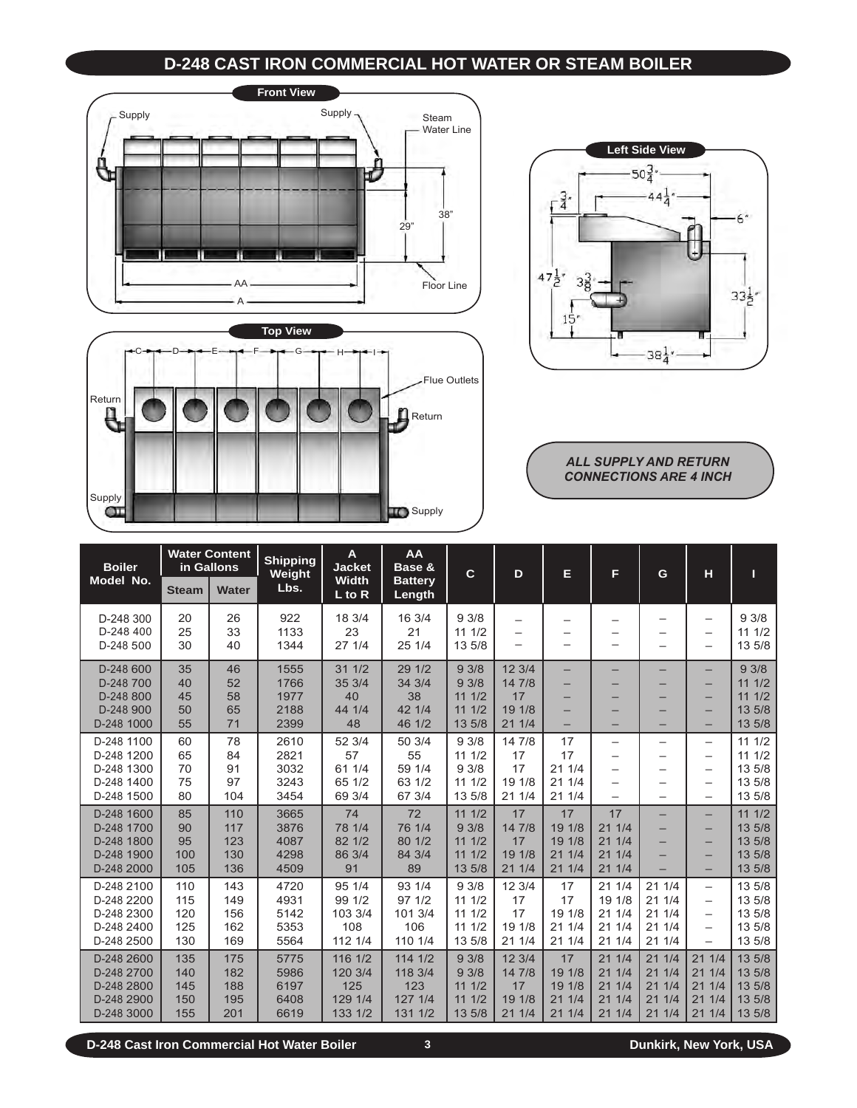# **D-248 Cast Iron Commercial Hot water or steam boiler**







*ALL SUPPLY AND RETURN CONNECTIONS are 4 INCH*

| <b>Boiler</b>                                                      |                                 | <b>Water Content</b><br>in Gallons | <b>Shipping</b><br>Weight            | A<br><b>Jacket</b>                              | AA<br>Base &                                    | $\mathbf{C}$                              | D                                          | Е                                         | F                                            | G                                           | н                                                                                | п                                              |
|--------------------------------------------------------------------|---------------------------------|------------------------------------|--------------------------------------|-------------------------------------------------|-------------------------------------------------|-------------------------------------------|--------------------------------------------|-------------------------------------------|----------------------------------------------|---------------------------------------------|----------------------------------------------------------------------------------|------------------------------------------------|
| Model No.                                                          | <b>Steam</b>                    | <b>Water</b>                       | Lbs.                                 | <b>Width</b><br>$L$ to R                        | <b>Battery</b><br>Length                        |                                           |                                            |                                           |                                              |                                             |                                                                                  |                                                |
| D-248 300<br>D-248 400<br>D-248 500                                | 20<br>25<br>30                  | 26<br>33<br>40                     | 922<br>1133<br>1344                  | 18 3/4<br>23<br>271/4                           | 16 3/4<br>21<br>25 1/4                          | 93/8<br>111/2<br>13 5/8                   | -<br>-<br>-                                | -                                         | —                                            |                                             | $\overline{\phantom{0}}$<br>$\overline{\phantom{0}}$<br>$\overline{\phantom{0}}$ | 93/8<br>111/2<br>13 5/8                        |
| D-248 600<br>D-248 700<br>D-248 800<br>D-248 900<br>D-248 1000     | 35<br>40<br>45<br>50<br>55      | 46<br>52<br>58<br>65<br>71         | 1555<br>1766<br>1977<br>2188<br>2399 | 311/2<br>35 3/4<br>40<br>44 1/4<br>48           | 29 1/2<br>34 3/4<br>38<br>42 1/4<br>46 1/2      | 93/8<br>93/8<br>111/2<br>111/2<br>13 5/8  | 12 3/4<br>14 7/8<br>17<br>19 1/8<br>21 1/4 | -<br>-<br>-<br>-                          | -<br>-                                       |                                             | $\overline{\phantom{0}}$<br>-<br>-<br>-<br>-                                     | 93/8<br>111/2<br>111/2<br>13 5/8<br>13 5/8     |
| D-248 1100<br>D-248 1200<br>D-248 1300<br>D-248 1400<br>D-248 1500 | 60<br>65<br>70<br>75<br>80      | 78<br>84<br>91<br>97<br>104        | 2610<br>2821<br>3032<br>3243<br>3454 | 52 3/4<br>57<br>61 1/4<br>65 1/2<br>69 3/4      | 50 3/4<br>55<br>59 1/4<br>63 1/2<br>67 3/4      | 93/8<br>111/2<br>93/8<br>111/2<br>13 5/8  | 14 7/8<br>17<br>17<br>19 1/8<br>211/4      | 17<br>17<br>211/4<br>211/4<br>21 1/4      | —<br>-<br>-                                  | $\overline{\phantom{0}}$                    | -<br>-<br>-<br>-<br>-                                                            | 111/2<br>111/2<br>13 5/8<br>13 5/8<br>13 5/8   |
| D-248 1600<br>D-248 1700<br>D-248 1800<br>D-248 1900<br>D-248 2000 | 85<br>90<br>95<br>100<br>105    | 110<br>117<br>123<br>130<br>136    | 3665<br>3876<br>4087<br>4298<br>4509 | 74<br>78 1/4<br>82 1/2<br>86 3/4<br>91          | 72<br>76 1/4<br>80 1/2<br>84 3/4<br>89          | 111/2<br>93/8<br>111/2<br>111/2<br>13 5/8 | 17<br>14 7/8<br>17<br>19 1/8<br>211/4      | 17<br>19 1/8<br>19 1/8<br>211/4<br>211/4  | 17<br>211/4<br>211/4<br>211/4<br>211/4       |                                             | -<br>-<br>-<br>-<br>-                                                            | 111/2<br>13 5/8<br>13 5/8<br>13 5/8<br>13 5/8  |
| D-248 2100<br>D-248 2200<br>D-248 2300<br>D-248 2400<br>D-248 2500 | 110<br>115<br>120<br>125<br>130 | 143<br>149<br>156<br>162<br>169    | 4720<br>4931<br>5142<br>5353<br>5564 | 95 1/4<br>99 1/2<br>103 3/4<br>108<br>112 1/4   | 93 1/4<br>97 1/2<br>101 3/4<br>106<br>110 1/4   | 93/8<br>111/2<br>111/2<br>111/2<br>13 5/8 | 12 3/4<br>17<br>17<br>19 1/8<br>21 1/4     | 17<br>17<br>19 1/8<br>21 1/4<br>21 1/4    | 211/4<br>19 1/8<br>211/4<br>21 1/4<br>21 1/4 | 211/4<br>211/4<br>211/4<br>21 1/4<br>21 1/4 | -<br>-<br>-<br>-<br>$\overline{\phantom{0}}$                                     | 13 5/8<br>13 5/8<br>13 5/8<br>13 5/8<br>13 5/8 |
| D-248 2600<br>D-248 2700<br>D-248 2800<br>D-248 2900<br>D-248 3000 | 135<br>140<br>145<br>150<br>155 | 175<br>182<br>188<br>195<br>201    | 5775<br>5986<br>6197<br>6408<br>6619 | 116 1/2<br>120 3/4<br>125<br>129 1/4<br>133 1/2 | 114 1/2<br>118 3/4<br>123<br>127 1/4<br>131 1/2 | 93/8<br>93/8<br>111/2<br>111/2<br>13 5/8  | 12 3/4<br>14 7/8<br>17<br>19 1/8<br>21 1/4 | 17<br>19 1/8<br>19 1/8<br>211/4<br>21 1/4 | 211/4<br>211/4<br>211/4<br>211/4<br>21 1/4   | 211/4<br>211/4<br>211/4<br>211/4<br>21 1/4  | 211/4<br>211/4<br>211/4<br>211/4<br>211/4                                        | 13 5/8<br>13 5/8<br>13 5/8<br>13 5/8<br>13 5/8 |

**D-248 Cast Iron Commercial Hot Water Boiler 3 Dunkirk, New York, USA**